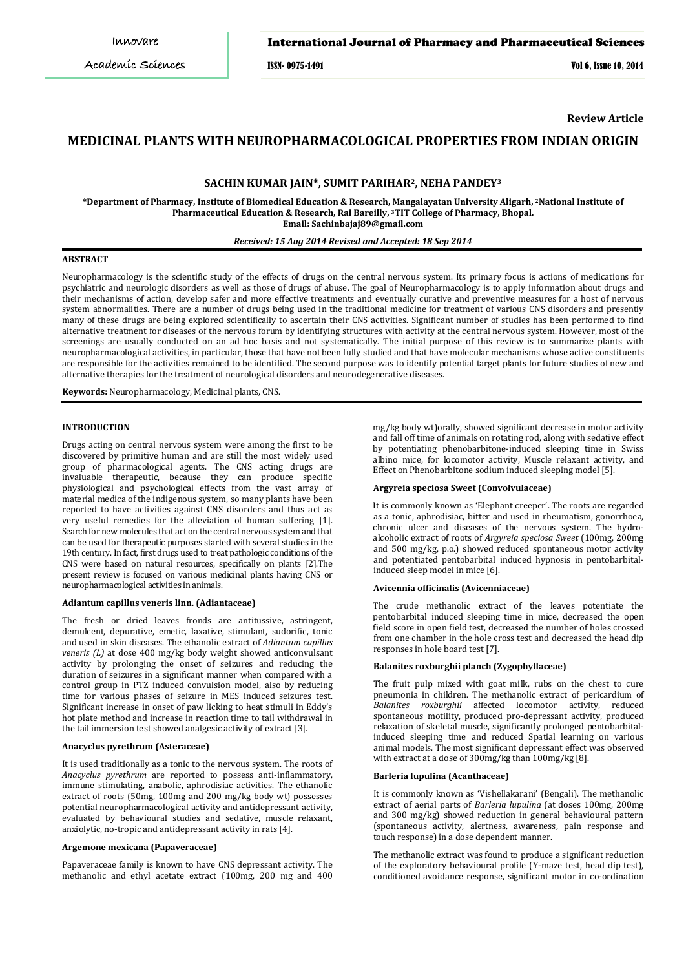ISSN- 0975-1491 Vol 6, Issue 10, 2014

**Review Article**

# **MEDICINAL PLANTS WITH NEUROPHARMACOLOGICAL PROPERTIES FROM INDIAN ORIGIN**

# **SACHIN KUMAR JAIN\*, SUMIT PARIHAR2, NEHA PANDEY 3**

**\*Department of Pharmacy, Institute of Biomedical Education & Research, Mangalayatan University Aligarh, 2National Institute of Pharmaceutical Education & Research, Rai Bareilly, 3 TIT College of Pharmacy, Bhopal. Email: Sachinbajaj89@gmail.com**

#### *Received: 15 Aug 2014 Revised and Accepted: 18 Sep 2014*

### **ABSTRACT**

Neuropharmacology is the scientific study of the effects of drugs on the central nervous system. Its primary focus is actions of medications for psychiatric and neurologic disorders as well as those of drugs of abuse. The goal of Neuropharmacology is to apply information about drugs and their mechanisms of action, develop safer and more effective treatments and eventually curative and preventive measures for a host of nervous system abnormalities. There are a number of drugs being used in the traditional medicine for treatment of various CNS disorders and presently many of these drugs are being explored scientifically to ascertain their CNS activities. Significant number of studies has been performed to find alternative treatment for diseases of the nervous forum by identifying structures with activity at the central nervous system. However, most of the screenings are usually conducted on an ad hoc basis and not systematically. The initial purpose of this review is to summarize plants with neuropharmacological activities, in particular, those that have not been fully studied and that have molecular mechanisms whose active constituents are responsible for the activities remained to be identified. The second purpose was to identify potential target plants for future studies of new and alternative therapies for the treatment of neurological disorders and neurodegenerative diseases.

**Keywords:** Neuropharmacology, Medicinal plants, CNS.

### **INTRODUCTION**

Drugs acting on central nervous system were among the first to be discovered by primitive human and are still the most widely used group of pharmacological agents. The CNS acting drugs are invaluable therapeutic, because they can produce specific physiological and psychological effects from the vast array of material medica of the indigenous system, so many plants have been reported to have activities against CNS disorders and thus act as very useful remedies for the alleviation of human suffering [1]. Search for new molecules that act on the central nervous system and that can be used for therapeutic purposes started with several studies in the 19th century. In fact, first drugs used to treat pathologic conditions of the CNS were based on natural resources, specifically on plants [2].The present review is focused on various medicinal plants having CNS or neuropharmacological activities in animals.

#### **Adiantum capillus veneris linn. (Adiantaceae)**

The fresh or dried leaves fronds are antitussive, astringent, demulcent, depurative, emetic, laxative, stimulant, sudorific, tonic and used in skin diseases. The ethanolic extract of *Adiantum capillus veneris (L)* at dose 400 mg/kg body weight showed anticonvulsant activity by prolonging the onset of seizures and reducing the duration of seizures in a significant manner when compared with a control group in PTZ induced convulsion model, also by reducing time for various phases of seizure in MES induced seizures test. Significant increase in onset of paw licking to heat stimuli in Eddy's hot plate method and increase in reaction time to tail withdrawal in the tail immersion test showed analgesic activity of extract [3].

### **Anacyclus pyrethrum (Asteraceae)**

It is used traditionally as a tonic to the nervous system. The roots of *Anacyclus pyrethrum* are reported to possess anti-inflammatory, immune stimulating, anabolic, aphrodisiac activities. The ethanolic extract of roots (50mg, 100mg and 200 mg/kg body wt) possesses potential neuropharmacological activity and antidepressant activity, evaluated by behavioural studies and sedative, muscle relaxant, anxiolytic, no-tropic and antidepressant activity in rats [4].

#### **Argemone mexicana (Papaveraceae)**

Papaveraceae family is known to have CNS depressant activity. The methanolic and ethyl acetate extract (100mg, 200 mg and 400 mg/kg body wt)orally, showed significant decrease in motor activity and fall off time of animals on rotating rod, along with sedative effect by potentiating phenobarbitone-induced sleeping time in Swiss albino mice, for locomotor activity, Muscle relaxant activity, and Effect on Phenobarbitone sodium induced sleeping model [5].

#### **Argyreia speciosa Sweet (Convolvulaceae)**

It is commonly known as 'Elephant creeper'. The roots are regarded as a tonic, aphrodisiac, bitter and used in rheumatism, gonorrhoea, chronic ulcer and diseases of the nervous system. The hydroalcoholic extract of roots of *Argyreia speciosa Sweet* (100mg, 200mg and 500 mg/kg, p.o.) showed reduced spontaneous motor activity and potentiated pentobarbital induced hypnosis in pentobarbitalinduced sleep model in mice [6].

### **Avicennia officinalis (Avicenniaceae)**

The crude methanolic extract of the leaves potentiate the pentobarbital induced sleeping time in mice, decreased the open field score in open field test, decreased the number of holes crossed from one chamber in the hole cross test and decreased the head dip responses in hole board test [7].

#### **Balanites roxburghii planch (Zygophyllaceae)**

The fruit pulp mixed with goat milk, rubs on the chest to cure pneumonia in children. The methanolic extract of pericardium of *Balanites roxburghii* affected locomotor activity, reduced spontaneous motility, produced pro-depressant activity, produced relaxation of skeletal muscle, significantly prolonged pentobarbitalinduced sleeping time and reduced Spatial learning on various animal models. The most significant depressant effect was observed with extract at a dose of 300mg/kg than 100mg/kg [8].

#### **Barleria lupulina (Acanthaceae)**

It is commonly known as 'Vishellakarani' (Bengali). The methanolic extract of aerial parts of *Barleria lupulina* (at doses 100mg, 200mg and 300 mg/kg) showed reduction in general behavioural pattern (spontaneous activity, alertness, awareness, pain response and touch response) in a dose dependent manner.

The methanolic extract was found to produce a significant reduction of the exploratory behavioural profile (Y-maze test, head dip test), conditioned avoidance response, significant motor in co-ordination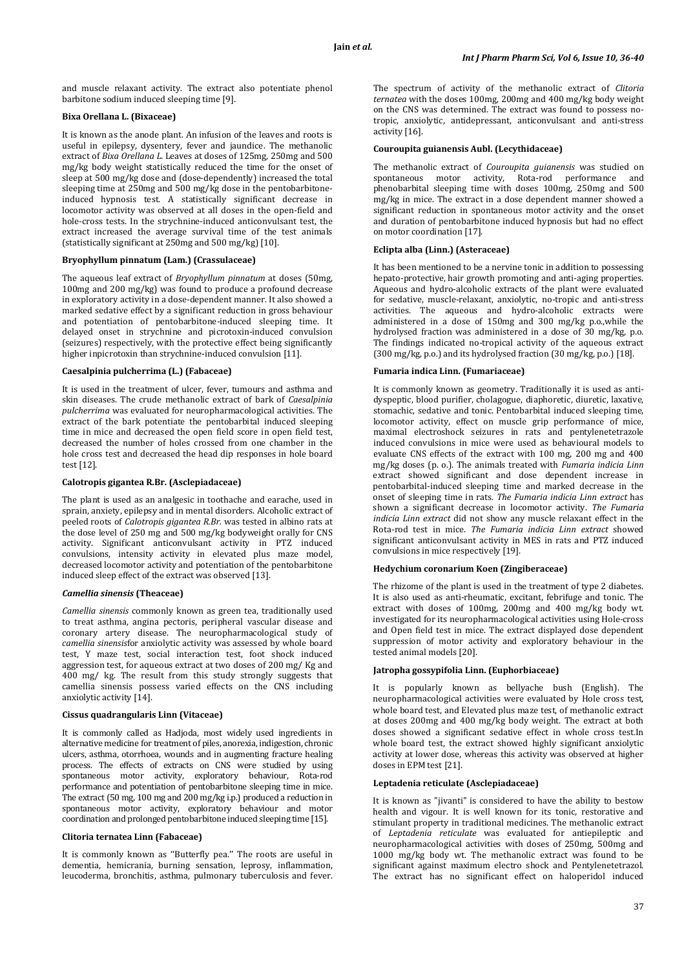and muscle relaxant activity. The extract also potentiate phenol barbitone sodium induced sleeping time [9].

### **Bixa Orellana L. (Bixaceae)**

It is known as the anode plant. An infusion of the leaves and roots is useful in epilepsy, dysentery, fever and jaundice. The methanolic extract of *Bixa Orellana L.* Leaves at doses of 125mg, 250mg and 500 mg/kg body weight statistically reduced the time for the onset of sleep at 500 mg/kg dose and (dose-dependently) increased the total sleeping time at 250mg and 500 mg/kg dose in the pentobarbitoneinduced hypnosis test. A statistically significant decrease in locomotor activity was observed at all doses in the open-field and hole-cross tests. In the strychnine-induced anticonvulsant test, the extract increased the average survival time of the test animals (statistically significant at 250mg and 500 mg/kg) [10].

### **Bryophyllum pinnatum (Lam.) (Crassulaceae)**

The aqueous leaf extract of *Bryophyllum pinnatum* at doses (50mg, 100mg and 200 mg/kg) was found to produce a profound decrease in exploratory activity in a dose-dependent manner. It also showed a marked sedative effect by a significant reduction in gross behaviour and potentiation of pentobarbitone-induced sleeping time. It delayed onset in strychnine and picrotoxin-induced convulsion (seizures) respectively, with the protective effect being significantly higher inpicrotoxin than strychnine-induced convulsion [11].

### **Caesalpinia pulcherrima (L.) (Fabaceae)**

It is used in the treatment of ulcer, fever, tumours and asthma and skin diseases. The crude methanolic extract of bark of *Caesalpinia pulcherrima* was evaluated for neuropharmacological activities. The extract of the bark potentiate the pentobarbital induced sleeping time in mice and decreased the open field score in open field test, decreased the number of holes crossed from one chamber in the hole cross test and decreased the head dip responses in hole board test [12].

#### **Calotropis gigantea R.Br. (Asclepiadaceae)**

The plant is used as an analgesic in toothache and earache, used in sprain, anxiety, epilepsy and in mental disorders. Alcoholic extract of peeled roots of *Calotropis gigantea R.Br.* was tested in albino rats at the dose level of 250 mg and 500 mg/kg bodyweight orally for CNS activity. Significant anticonvulsant activity in PTZ induced convulsions, intensity activity in elevated plus maze model, decreased locomotor activity and potentiation of the pentobarbitone induced sleep effect of the extract was observed [13].

#### *Camellia sinensis* **(Theaceae)**

*Camellia sinensis* commonly known as green tea, traditionally used to treat asthma, angina pectoris, peripheral vascular disease and coronary artery disease. The neuropharmacological study of *camellia sinensis*for anxiolytic activity was assessed by whole board test, Y maze test, social interaction test, foot shock induced aggression test, for aqueous extract at two doses of 200 mg/ Kg and 400 mg/ kg. The result from this study strongly suggests that camellia sinensis possess varied effects on the CNS including anxiolytic activity [14].

### **Cissus quadrangularis Linn (Vitaceae)**

It is commonly called as Hadjoda, most widely used ingredients in alternative medicine for treatment of piles, anorexia, indigestion, chronic ulcers, asthma, otorrhoea, wounds and in augmenting fracture healing process. The effects of extracts on CNS were studied by using spontaneous motor activity, exploratory behaviour, Rota-rod performance and potentiation of pentobarbitone sleeping time in mice. The extract (50 mg, 100 mg and 200 mg/kg i.p.) produced a reduction in spontaneous motor activity, exploratory behaviour and motor coordination and prolonged pentobarbitone induced sleeping time [15].

### **Clitoria ternatea Linn (Fabaceae)**

It is commonly known as ''Butterfly pea.'' The roots are useful in dementia, hemicrania, burning sensation, leprosy, inflammation, leucoderma, bronchitis, asthma, pulmonary tuberculosis and fever.

The spectrum of activity of the methanolic extract of *Clitoria ternatea* with the doses 100mg, 200mg and 400 mg/kg body weight on the CNS was determined. The extract was found to possess notropic, anxiolytic, antidepressant, anticonvulsant and anti-stress activity [16].

## **Couroupita guianensis Aubl. (Lecythidaceae)**

The methanolic extract of *Couroupita guianensis* was studied on spontaneous motor activity, Rota-rod performance and phenobarbital sleeping time with doses 100mg, 250mg and 500 mg/kg in mice. The extract in a dose dependent manner showed a significant reduction in spontaneous motor activity and the onset and duration of pentobarbitone induced hypnosis but had no effect on motor coordination [17].

### **Eclipta alba (Linn.) (Asteraceae)**

It has been mentioned to be a nervine tonic in addition to possessing hepato-protective, hair growth promoting and anti-aging properties. Aqueous and hydro-alcoholic extracts of the plant were evaluated for sedative, muscle-relaxant, anxiolytic, no-tropic and anti-stress activities. The aqueous and hydro-alcoholic extracts were administered in a dose of 150mg and 300 mg/kg p.o.,while the hydrolysed fraction was administered in a dose of 30 mg/kg, p.o. The findings indicated no-tropical activity of the aqueous extract (300 mg/kg, p.o.) and its hydrolysed fraction (30 mg/kg, p.o.) [18].

### **Fumaria indica Linn. (Fumariaceae)**

It is commonly known as geometry. Traditionally it is used as antidyspeptic, blood purifier, cholagogue, diaphoretic, diuretic, laxative, stomachic, sedative and tonic. Pentobarbital induced sleeping time, locomotor activity, effect on muscle grip performance of mice, maximal electroshock seizures in rats and pentylenetetrazole induced convulsions in mice were used as behavioural models to evaluate CNS effects of the extract with 100 mg, 200 mg and 400 mg/kg doses (p. o.). The animals treated with *Fumaria indicia Linn* extract showed significant and dose dependent increase in pentobarbital-induced sleeping time and marked decrease in the onset of sleeping time in rats. *The Fumaria indicia Linn extract* has shown a significant decrease in locomotor activity. *The Fumaria indicia Linn extract* did not show any muscle relaxant effect in the Rota-rod test in mice. *The Fumaria indicia Linn extract* showed significant anticonvulsant activity in MES in rats and PTZ induced convulsions in mice respectively [19].

#### **Hedychium coronarium Koen (Zingiberaceae)**

The rhizome of the plant is used in the treatment of type 2 diabetes. It is also used as anti-rheumatic, excitant, febrifuge and tonic. The extract with doses of 100mg, 200mg and 400 mg/kg body wt. investigated for its neuropharmacological activities using Hole-cross and Open field test in mice. The extract displayed dose dependent suppression of motor activity and exploratory behaviour in the tested animal models [20].

#### **Jatropha gossypifolia Linn. (Euphorbiaceae)**

It is popularly known as bellyache bush (English). The neuropharmacological activities were evaluated by Hole cross test, whole board test, and Elevated plus maze test, of methanolic extract at doses 200mg and 400 mg/kg body weight. The extract at both doses showed a significant sedative effect in whole cross test.In whole board test, the extract showed highly significant anxiolytic activity at lower dose, whereas this activity was observed at higher doses in EPM test [21].

### **Leptadenia reticulate (Asclepiadaceae)**

It is known as "jivanti" is considered to have the ability to bestow health and vigour. It is well known for its tonic, restorative and stimulant property in traditional medicines. The methanolic extract of *Leptadenia reticulate* was evaluated for antiepileptic and neuropharmacological activities with doses of 250mg, 500mg and 1000 mg/kg body wt. The methanolic extract was found to be significant against maximum electro shock and Pentylenetetrazol. The extract has no significant effect on haloperidol induced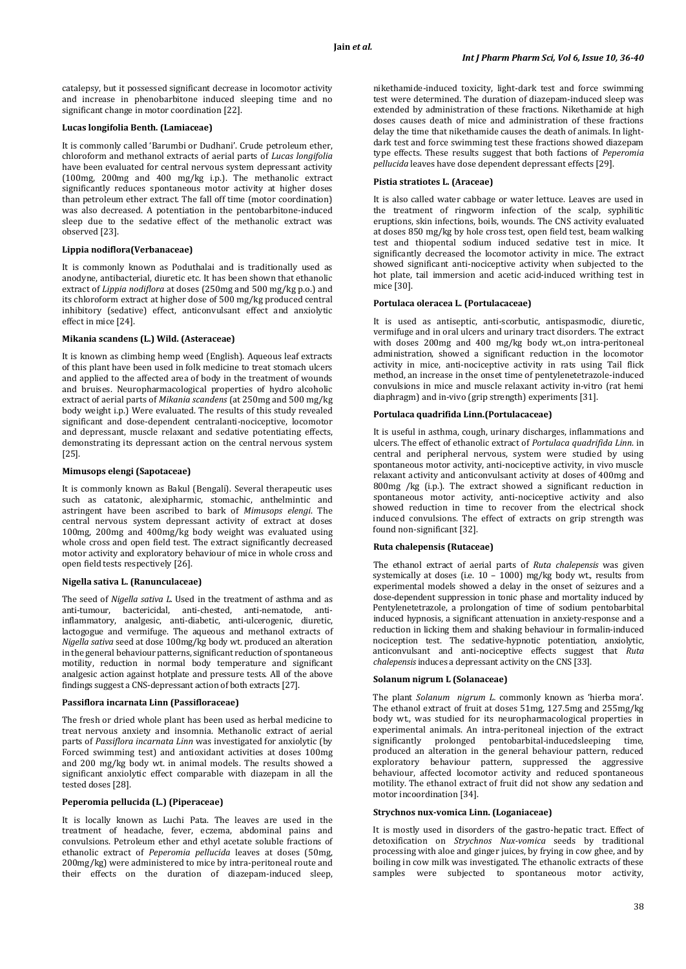catalepsy, but it possessed significant decrease in locomotor activity and increase in phenobarbitone induced sleeping time and no significant change in motor coordination [22].

### **Lucas longifolia Benth. (Lamiaceae)**

It is commonly called 'Barumbi or Dudhani'. Crude petroleum ether, chloroform and methanol extracts of aerial parts of *Lucas longifolia* have been evaluated for central nervous system depressant activity (100mg, 200mg and 400 mg/kg i.p.). The methanolic extract significantly reduces spontaneous motor activity at higher doses than petroleum ether extract. The fall off time (motor coordination) was also decreased. A potentiation in the pentobarbitone-induced sleep due to the sedative effect of the methanolic extract was observed [23].

### **Lippia nodiflora(Verbanaceae)**

It is commonly known as Poduthalai and is traditionally used as anodyne, antibacterial, diuretic etc. It has been shown that ethanolic extract of *Lippia nodiflora* at doses (250mg and 500 mg/kg p.o.) and its chloroform extract at higher dose of 500 mg/kg produced central inhibitory (sedative) effect, anticonvulsant effect and anxiolytic effect in mice [24].

#### **Mikania scandens (L.) Wild. (Asteraceae)**

It is known as climbing hemp weed (English). Aqueous leaf extracts of this plant have been used in folk medicine to treat stomach ulcers and applied to the affected area of body in the treatment of wounds and bruises. Neuropharmacological properties of hydro alcoholic extract of aerial parts of *Mikania scandens* (at 250mg and 500 mg/kg body weight i.p.) Were evaluated. The results of this study revealed significant and dose-dependent centralanti-nociceptive, locomotor and depressant, muscle relaxant and sedative potentiating effects, demonstrating its depressant action on the central nervous system [25].

#### **Mimusops elengi (Sapotaceae)**

It is commonly known as Bakul (Bengali). Several therapeutic uses such as catatonic, alexipharmic, stomachic, anthelmintic and astringent have been ascribed to bark of *Mimusops elengi*. The central nervous system depressant activity of extract at doses 100mg, 200mg and 400mg/kg body weight was evaluated using whole cross and open field test. The extract significantly decreased motor activity and exploratory behaviour of mice in whole cross and open field tests respectively [26].

#### **Nigella sativa L. (Ranunculaceae)**

The seed of *Nigella sativa L.* Used in the treatment of asthma and as anti-tumour, bactericidal, anti-chested, anti-nematode, antiinflammatory, analgesic, anti-diabetic, anti-ulcerogenic, diuretic, lactogogue and vermifuge. The aqueous and methanol extracts of *Nigella sativa* seed at dose 100mg/kg body wt. produced an alteration in the general behaviour patterns, significant reduction of spontaneous motility, reduction in normal body temperature and significant analgesic action against hotplate and pressure tests. All of the above findings suggest a CNS-depressant action of both extracts [27].

#### **Passiflora incarnata Linn (Passifloraceae)**

The fresh or dried whole plant has been used as herbal medicine to treat nervous anxiety and insomnia. Methanolic extract of aerial parts of *Passiflora incarnata Linn* was investigated for anxiolytic (by Forced swimming test) and antioxidant activities at doses 100mg and 200 mg/kg body wt. in animal models. The results showed a significant anxiolytic effect comparable with diazepam in all the tested doses [28].

### **Peperomia pellucida (L.) (Piperaceae)**

It is locally known as Luchi Pata. The leaves are used in the treatment of headache, fever, eczema, abdominal pains and convulsions. Petroleum ether and ethyl acetate soluble fractions of ethanolic extract of *Peperomia pellucida* leaves at doses (50mg, 200mg/kg) were administered to mice by intra-peritoneal route and their effects on the duration of diazepam-induced sleep,

nikethamide-induced toxicity, light-dark test and force swimming test were determined. The duration of diazepam-induced sleep was extended by administration of these fractions. Nikethamide at high doses causes death of mice and administration of these fractions delay the time that nikethamide causes the death of animals. In lightdark test and force swimming test these fractions showed diazepam type effects. These results suggest that both factions of *Peperomia pellucida* leaves have dose dependent depressant effects [29].

## **Pistia stratiotes L. (Araceae)**

It is also called water cabbage or water lettuce. Leaves are used in the treatment of ringworm infection of the scalp, syphilitic eruptions, skin infections, boils, wounds. The CNS activity evaluated at doses 850 mg/kg by hole cross test, open field test, beam walking test and thiopental sodium induced sedative test in mice. It significantly decreased the locomotor activity in mice. The extract showed significant anti-nociceptive activity when subjected to the hot plate, tail immersion and acetic acid-induced writhing test in mice [30].

### **Portulaca oleracea L. (Portulacaceae)**

It is used as antiseptic, anti-scorbutic, antispasmodic, diuretic, vermifuge and in oral ulcers and urinary tract disorders. The extract with doses 200mg and 400 mg/kg body wt.,on intra-peritoneal administration, showed a significant reduction in the locomotor activity in mice, anti-nociceptive activity in rats using Tail flick method, an increase in the onset time of pentylenetetrazole-induced convulsions in mice and muscle relaxant activity in-vitro (rat hemi diaphragm) and in-vivo (grip strength) experiments [31].

#### **Portulaca quadrifida Linn.(Portulacaceae)**

It is useful in asthma, cough, urinary discharges, inflammations and ulcers. The effect of ethanolic extract of *Portulaca quadrifida Linn*. in central and peripheral nervous, system were studied by using spontaneous motor activity, anti-nociceptive activity, in vivo muscle relaxant activity and anticonvulsant activity at doses of 400mg and 800mg /kg (i.p.). The extract showed a significant reduction in spontaneous motor activity, anti-nociceptive activity and also showed reduction in time to recover from the electrical shock induced convulsions. The effect of extracts on grip strength was found non-significant [32].

### **Ruta chalepensis (Rutaceae)**

The ethanol extract of aerial parts of *Ruta chalepensis* was given systemically at doses (i.e.  $10 - 1000$ ) mg/kg body wt., results from experimental models showed a delay in the onset of seizures and a dose-dependent suppression in tonic phase and mortality induced by Pentylenetetrazole, a prolongation of time of sodium pentobarbital induced hypnosis, a significant attenuation in anxiety-response and a reduction in licking them and shaking behaviour in formalin-induced nociception test. The sedative-hypnotic potentiation, anxiolytic, anticonvulsant and anti-nociceptive effects suggest that *Ruta chalepensis*induces a depressant activity on the CNS [33].

### **Solanum nigrum L (Solanaceae)**

The plant *Solanum nigrum L.* commonly known as 'hierba mora'. The ethanol extract of fruit at doses 51mg, 127.5mg and 255mg/kg body wt., was studied for its neuropharmacological properties in experimental animals. An intra-peritoneal injection of the extract significantly prolonged pentobarbital-inducedsleeping time, produced an alteration in the general behaviour pattern, reduced exploratory behaviour pattern, suppressed the aggressive behaviour, affected locomotor activity and reduced spontaneous motility. The ethanol extract of fruit did not show any sedation and motor incoordination [34].

#### **Strychnos nux-vomica Linn. (Loganiaceae)**

It is mostly used in disorders of the gastro-hepatic tract. Effect of detoxification on *Strychnos Nux-vomica* seeds by traditional processing with aloe and ginger juices, by frying in cow ghee, and by boiling in cow milk was investigated. The ethanolic extracts of these samples were subjected to spontaneous motor activity,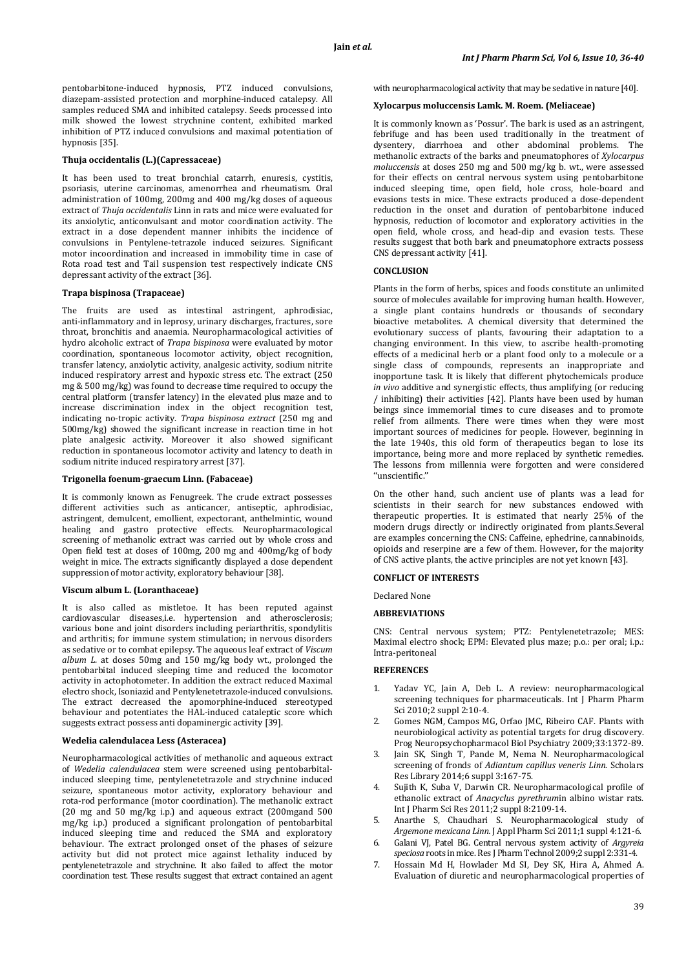pentobarbitone-induced hypnosis, PTZ induced convulsions, diazepam-assisted protection and morphine-induced catalepsy. All samples reduced SMA and inhibited catalepsy. Seeds processed into milk showed the lowest strychnine content, exhibited marked inhibition of PTZ induced convulsions and maximal potentiation of hypnosis [35].

#### **Thuja occidentalis (L.)(Capressaceae)**

It has been used to treat bronchial catarrh, enuresis, cystitis, psoriasis, uterine carcinomas, amenorrhea and rheumatism. Oral administration of 100mg, 200mg and 400 mg/kg doses of aqueous extract of *Thuja occidentalis* Linn in rats and mice were evaluated for its anxiolytic, anticonvulsant and motor coordination activity. The extract in a dose dependent manner inhibits the incidence of convulsions in Pentylene-tetrazole induced seizures. Significant motor incoordination and increased in immobility time in case of Rota road test and Tail suspension test respectively indicate CNS depressant activity of the extract [36].

#### **Trapa bispinosa (Trapaceae)**

The fruits are used as intestinal astringent, aphrodisiac, anti-inflammatory and in leprosy, urinary discharges, fractures, sore throat, bronchitis and anaemia. Neuropharmacological activities of hydro alcoholic extract of *Trapa bispinosa* were evaluated by motor coordination, spontaneous locomotor activity, object recognition, transfer latency, anxiolytic activity, analgesic activity, sodium nitrite induced respiratory arrest and hypoxic stress etc. The extract (250 mg & 500 mg/kg) was found to decrease time required to occupy the central platform (transfer latency) in the elevated plus maze and to increase discrimination index in the object recognition test, indicating no-tropic activity. *Trapa bispinosa extract* (250 mg and 500mg/kg) showed the significant increase in reaction time in hot plate analgesic activity. Moreover it also showed significant reduction in spontaneous locomotor activity and latency to death in sodium nitrite induced respiratory arrest [37].

### **Trigonella foenum-graecum Linn. (Fabaceae)**

It is commonly known as Fenugreek. The crude extract possesses different activities such as anticancer, antiseptic, aphrodisiac, astringent, demulcent, emollient, expectorant, anthelmintic, wound healing and gastro protective effects. Neuropharmacological screening of methanolic extract was carried out by whole cross and Open field test at doses of 100mg, 200 mg and 400mg/kg of body weight in mice. The extracts significantly displayed a dose dependent suppression of motor activity, exploratory behaviour [38].

#### **Viscum album L. (Loranthaceae)**

It is also called as mistletoe. It has been reputed against cardiovascular diseases,i.e. hypertension and atherosclerosis; various bone and joint disorders including periarthritis, spondylitis and arthritis; for immune system stimulation; in nervous disorders as sedative or to combat epilepsy. The aqueous leaf extract of *Viscum album L.* at doses 50mg and 150 mg/kg body wt., prolonged the pentobarbital induced sleeping time and reduced the locomotor activity in actophotometer. In addition the extract reduced Maximal electro shock, Isoniazid and Pentylenetetrazole-induced convulsions. The extract decreased the apomorphine-induced stereotyped behaviour and potentiates the HAL-induced cataleptic score which suggests extract possess anti dopaminergic activity [39].

### **Wedelia calendulacea Less (Asteracea)**

Neuropharmacological activities of methanolic and aqueous extract of *Wedelia calendulacea* stem were screened using pentobarbitalinduced sleeping time, pentylenetetrazole and strychnine induced seizure, spontaneous motor activity, exploratory behaviour and rota-rod performance (motor coordination). The methanolic extract (20 mg and 50 mg/kg i.p.) and aqueous extract (200mgand 500 mg/kg i.p.) produced a significant prolongation of pentobarbital induced sleeping time and reduced the SMA and exploratory behaviour. The extract prolonged onset of the phases of seizure activity but did not protect mice against lethality induced by pentylenetetrazole and strychnine. It also failed to affect the motor coordination test. These results suggest that extract contained an agent

with neuropharmacological activity that may be sedative in nature [40].

#### **Xylocarpus moluccensis Lamk. M. Roem. (Meliaceae)**

It is commonly known as 'Possur'. The bark is used as an astringent, febrifuge and has been used traditionally in the treatment of dysentery, diarrhoea and other abdominal problems. The methanolic extracts of the barks and pneumatophores of *Xylocarpus moluccensis* at doses 250 mg and 500 mg/kg b. wt., were assessed for their effects on central nervous system using pentobarbitone induced sleeping time, open field, hole cross, hole-board and evasions tests in mice. These extracts produced a dose-dependent reduction in the onset and duration of pentobarbitone induced hypnosis, reduction of locomotor and exploratory activities in the open field, whole cross, and head-dip and evasion tests. These results suggest that both bark and pneumatophore extracts possess CNS depressant activity [41].

### **CONCLUSION**

Plants in the form of herbs, spices and foods constitute an unlimited source of molecules available for improving human health. However, a single plant contains hundreds or thousands of secondary bioactive metabolites. A chemical diversity that determined the evolutionary success of plants, favouring their adaptation to a changing environment. In this view, to ascribe health-promoting effects of a medicinal herb or a plant food only to a molecule or a single class of compounds, represents an inappropriate and inopportune task. It is likely that different phytochemicals produce *in vivo* additive and synergistic effects, thus amplifying (or reducing / inhibiting) their activities [42]. Plants have been used by human beings since immemorial times to cure diseases and to promote relief from ailments. There were times when they were most important sources of medicines for people. However, beginning in the late 1940s, this old form of therapeutics began to lose its importance, being more and more replaced by synthetic remedies. The lessons from millennia were forgotten and were considered ''unscientific.''

On the other hand, such ancient use of plants was a lead for scientists in their search for new substances endowed with therapeutic properties. It is estimated that nearly 25% of the modern drugs directly or indirectly originated from plants.Several are examples concerning the CNS: Caffeine, ephedrine, cannabinoids, opioids and reserpine are a few of them. However, for the majority of CNS active plants, the active principles are not yet known [43].

# **CONFLICT OF INTERESTS**

Declared None

### **ABBREVIATIONS**

CNS: Central nervous system; PTZ: Pentylenetetrazole; MES: Maximal electro shock; EPM: Elevated plus maze; p.o.: per oral; i.p.: Intra-peritoneal

#### **REFERENCES**

- 1. Yadav YC, Jain A, Deb L. A review: neuropharmacological screening techniques for pharmaceuticals. Int J Pharm Pharm Sci 2010;2 suppl 2:10-4.
- 2. Gomes NGM, Campos MG, Orfao JMC, Ribeiro CAF. Plants with neurobiological activity as potential targets for drug discovery. Prog Neuropsychopharmacol Biol Psychiatry 2009;33:1372-89.
- Jain SK, Singh T, Pande M, Nema N. Neuropharmacological screening of fronds of *Adiantum capillus veneris Linn*. Scholars Res Library 2014;6 suppl 3:167-75.
- 4. Sujith K, Suba V, Darwin CR. Neuropharmacological profile of ethanolic extract of *Anacyclus pyrethrum*in albino wistar rats. Int J Pharm Sci Res 2011;2 suppl 8:2109-14.
- 5. Anarthe S, Chaudhari S. Neuropharmacological study of *Argemone mexicana Linn.* J Appl Pharm Sci 2011;1 suppl 4:121-6.
- 6. Galani VJ, Patel BG. Central nervous system activity of *Argyreia speciosa* roots in mice. Res J Pharm Technol 2009;2 suppl 2:331-4.
- 7. Hossain Md H, Howlader Md SI, Dey SK, Hira A, Ahmed A. Evaluation of diuretic and neuropharmacological properties of